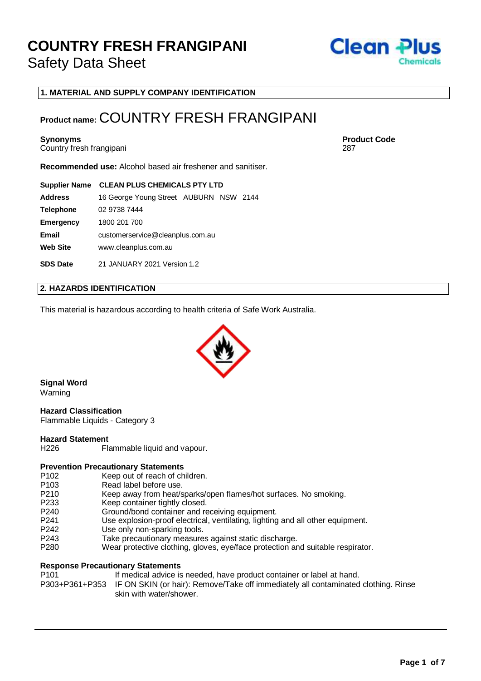

**1. MATERIAL AND SUPPLY COMPANY IDENTIFICATION**

### **Product name:** COUNTRY FRESH FRANGIPANI

Country fresh frangipani

**Recommended use:** Alcohol based air freshener and sanitiser.

#### **Supplier Name CLEAN PLUS CHEMICALS PTY LTD**

| <b>Address</b>   | 16 George Young Street AUBURN NSW 2144 |  |  |  |
|------------------|----------------------------------------|--|--|--|
| <b>Telephone</b> | 02 9738 7444                           |  |  |  |
| <b>Emergency</b> | 1800 201 700                           |  |  |  |
| <b>Email</b>     | customerservice@cleanplus.com.au       |  |  |  |
| <b>Web Site</b>  | www.cleanplus.com.au                   |  |  |  |
| <b>SDS Date</b>  | 21 JANUARY 2021 Version 1.2            |  |  |  |

#### **2. HAZARDS IDENTIFICATION**

This material is hazardous according to health criteria of Safe Work Australia.



**Signal Word** Warning

### **Hazard Classification**

Flammable Liquids - Category 3

### **Hazard Statement**

H226 Flammable liquid and vapour.

#### **Prevention Precautionary Statements**

- P102 Keep out of reach of children.<br>P103 Read label before use.
- Read label before use.
- P210 Keep away from heat/sparks/open flames/hot surfaces. No smoking.
- P233 Keep container tightly closed.<br>P240 Ground/bond container and re
- Ground/bond container and receiving equipment.
- P241 Use explosion-proof electrical, ventilating, lighting and all other equipment.
- P242 Use only non-sparking tools.<br>P243 Take precautionary measure
- Take precautionary measures against static discharge.
- P280 Wear protective clothing, gloves, eye/face protection and suitable respirator.

#### **Response Precautionary Statements**

P101 If medical advice is needed, have product container or label at hand. P303+P361+P353 IF ON SKIN (or hair): Remove/Take off immediately all contaminated clothing. Rinse skin with water/shower.

**Synonyms Product Code**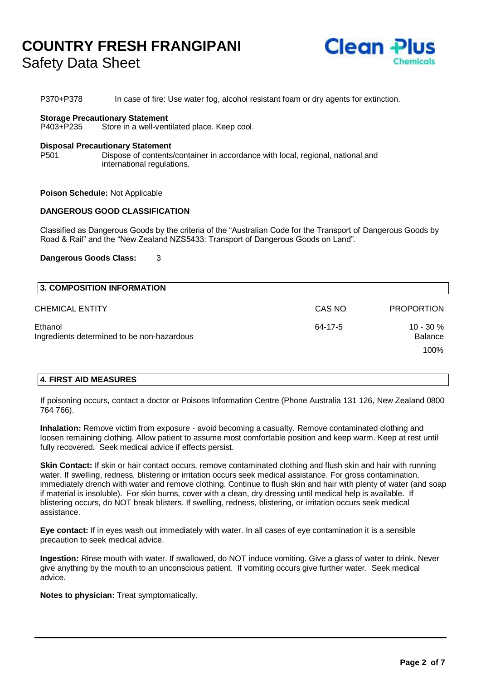

P370+P378 In case of fire: Use water fog, alcohol resistant foam or dry agents for extinction.

#### **Storage Precautionary Statement**

P403+P235 Store in a well-ventilated place. Keep cool.

#### **Disposal Precautionary Statement**

P501 Dispose of contents/container in accordance with local, regional, national and international regulations.

**Poison Schedule:** Not Applicable

#### **DANGEROUS GOOD CLASSIFICATION**

Classified as Dangerous Goods by the criteria of the "Australian Code for the Transport of Dangerous Goods by Road & Rail" and the "New Zealand NZS5433: Transport of Dangerous Goods on Land".

#### **Dangerous Goods Class:** 3

| 3. COMPOSITION INFORMATION                            |         |                                |
|-------------------------------------------------------|---------|--------------------------------|
| CHEMICAL ENTITY                                       | CAS NO  | <b>PROPORTION</b>              |
| Ethanol<br>Ingredients determined to be non-hazardous | 64-17-5 | $10 - 30 \%$<br><b>Balance</b> |
|                                                       |         | 100%                           |

#### **4. FIRST AID MEASURES**

If poisoning occurs, contact a doctor or Poisons Information Centre (Phone Australia 131 126, New Zealand 0800 764 766).

**Inhalation:** Remove victim from exposure - avoid becoming a casualty. Remove contaminated clothing and loosen remaining clothing. Allow patient to assume most comfortable position and keep warm. Keep at rest until fully recovered. Seek medical advice if effects persist.

**Skin Contact:** If skin or hair contact occurs, remove contaminated clothing and flush skin and hair with running water. If swelling, redness, blistering or irritation occurs seek medical assistance. For gross contamination, immediately drench with water and remove clothing. Continue to flush skin and hair with plenty of water (and soap if material is insoluble). For skin burns, cover with a clean, dry dressing until medical help is available. If blistering occurs, do NOT break blisters. If swelling, redness, blistering, or irritation occurs seek medical assistance.

**Eye contact:** If in eyes wash out immediately with water. In all cases of eye contamination it is a sensible precaution to seek medical advice.

**Ingestion:** Rinse mouth with water. If swallowed, do NOT induce vomiting. Give a glass of water to drink. Never give anything by the mouth to an unconscious patient. If vomiting occurs give further water. Seek medical advice.

**Notes to physician:** Treat symptomatically.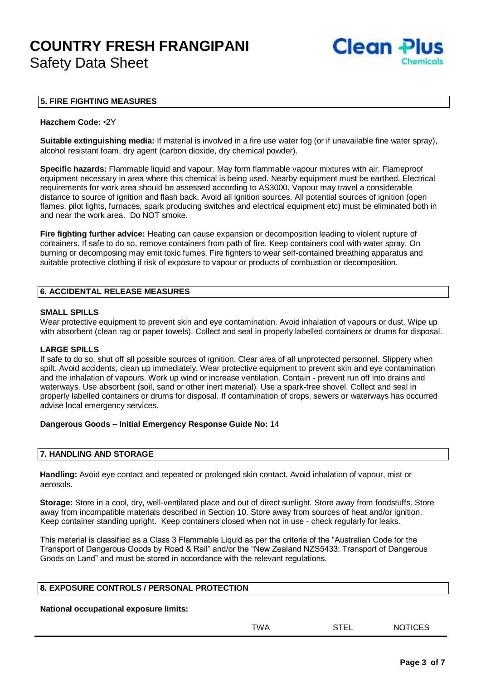

#### **5. FIRE FIGHTING MEASURES**

#### **Hazchem Code:** •2Y

**Suitable extinguishing media:** If material is involved in a fire use water fog (or if unavailable fine water spray), alcohol resistant foam, dry agent (carbon dioxide, dry chemical powder).

**Specific hazards:** Flammable liquid and vapour. May form flammable vapour mixtures with air. Flameproof equipment necessary in area where this chemical is being used. Nearby equipment must be earthed. Electrical requirements for work area should be assessed according to AS3000. Vapour may travel a considerable distance to source of ignition and flash back. Avoid all ignition sources. All potential sources of ignition (open flames, pilot lights, furnaces, spark producing switches and electrical equipment etc) must be eliminated both in and near the work area. Do NOT smoke.

**Fire fighting further advice:** Heating can cause expansion or decomposition leading to violent rupture of containers. If safe to do so, remove containers from path of fire. Keep containers cool with water spray. On burning or decomposing may emit toxic fumes. Fire fighters to wear self-contained breathing apparatus and suitable protective clothing if risk of exposure to vapour or products of combustion or decomposition.

#### **6. ACCIDENTAL RELEASE MEASURES**

#### **SMALL SPILLS**

Wear protective equipment to prevent skin and eye contamination. Avoid inhalation of vapours or dust. Wipe up with absorbent (clean rag or paper towels). Collect and seal in properly labelled containers or drums for disposal.

#### **LARGE SPILLS**

If safe to do so, shut off all possible sources of ignition. Clear area of all unprotected personnel. Slippery when spilt. Avoid accidents, clean up immediately. Wear protective equipment to prevent skin and eye contamination and the inhalation of vapours. Work up wind or increase ventilation. Contain - prevent run off into drains and waterways. Use absorbent (soil, sand or other inert material). Use a spark-free shovel. Collect and seal in properly labelled containers or drums for disposal. If contamination of crops, sewers or waterways has occurred advise local emergency services.

#### **Dangerous Goods – Initial Emergency Response Guide No:** 14

#### **7. HANDLING AND STORAGE**

**Handling:** Avoid eye contact and repeated or prolonged skin contact. Avoid inhalation of vapour, mist or aerosols.

**Storage:** Store in a cool, dry, well-ventilated place and out of direct sunlight. Store away from foodstuffs. Store away from incompatible materials described in Section 10. Store away from sources of heat and/or ignition. Keep container standing upright. Keep containers closed when not in use - check regularly for leaks.

This material is classified as a Class 3 Flammable Liquid as per the criteria of the "Australian Code for the Transport of Dangerous Goods by Road & Rail" and/or the "New Zealand NZS5433: Transport of Dangerous Goods on Land" and must be stored in accordance with the relevant regulations.

| 8. EXPOSURE CONTROLS / PERSONAL PROTECTION |  |
|--------------------------------------------|--|
|                                            |  |

**National occupational exposure limits:**

| TWA | STEL | <b>NOTICES</b> |
|-----|------|----------------|
|     |      |                |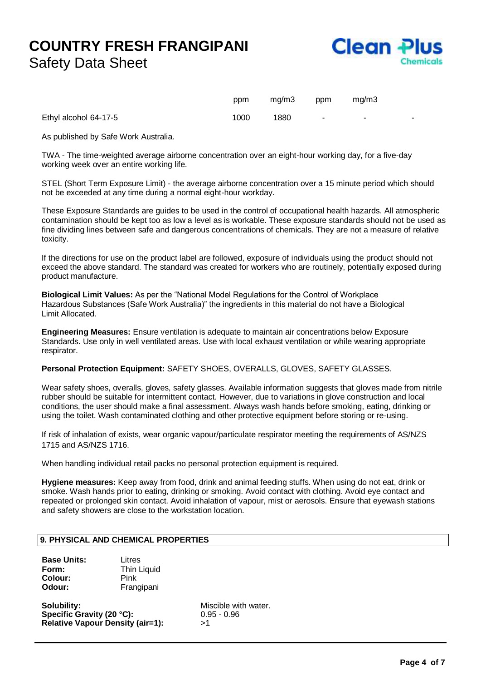

|                       | ppm  | mg/m3 | ppm    | mg/m3                    |  |
|-----------------------|------|-------|--------|--------------------------|--|
| Ethyl alcohol 64-17-5 | 1000 | 1880  | $\sim$ | $\overline{\phantom{a}}$ |  |

As published by Safe Work Australia.

TWA - The time-weighted average airborne concentration over an eight-hour working day, for a five-day working week over an entire working life.

STEL (Short Term Exposure Limit) - the average airborne concentration over a 15 minute period which should not be exceeded at any time during a normal eight-hour workday.

These Exposure Standards are guides to be used in the control of occupational health hazards. All atmospheric contamination should be kept too as low a level as is workable. These exposure standards should not be used as fine dividing lines between safe and dangerous concentrations of chemicals. They are not a measure of relative toxicity.

If the directions for use on the product label are followed, exposure of individuals using the product should not exceed the above standard. The standard was created for workers who are routinely, potentially exposed during product manufacture.

**Biological Limit Values:** As per the "National Model Regulations for the Control of Workplace Hazardous Substances (Safe Work Australia)" the ingredients in this material do not have a Biological Limit Allocated.

**Engineering Measures:** Ensure ventilation is adequate to maintain air concentrations below Exposure Standards. Use only in well ventilated areas. Use with local exhaust ventilation or while wearing appropriate respirator.

#### **Personal Protection Equipment:** SAFETY SHOES, OVERALLS, GLOVES, SAFETY GLASSES.

Wear safety shoes, overalls, gloves, safety glasses. Available information suggests that gloves made from nitrile rubber should be suitable for intermittent contact. However, due to variations in glove construction and local conditions, the user should make a final assessment. Always wash hands before smoking, eating, drinking or using the toilet. Wash contaminated clothing and other protective equipment before storing or re-using.

If risk of inhalation of exists, wear organic vapour/particulate respirator meeting the requirements of AS/NZS 1715 and AS/NZS 1716.

When handling individual retail packs no personal protection equipment is required.

**Hygiene measures:** Keep away from food, drink and animal feeding stuffs. When using do not eat, drink or smoke. Wash hands prior to eating, drinking or smoking. Avoid contact with clothing. Avoid eye contact and repeated or prolonged skin contact. Avoid inhalation of vapour, mist or aerosols. Ensure that eyewash stations and safety showers are close to the workstation location.

#### **9. PHYSICAL AND CHEMICAL PROPERTIES**

| <b>Base Units:</b> | Litres      |  |  |
|--------------------|-------------|--|--|
| Form:              | Thin Liquid |  |  |
| Colour:            | Pink        |  |  |
| Odour:             | Frangipani  |  |  |

**Solubility:** Miscible with water. **Specific Gravity (20 °C):** 0.95 - 0.96 **Relative Vapour Density (air=1):** >1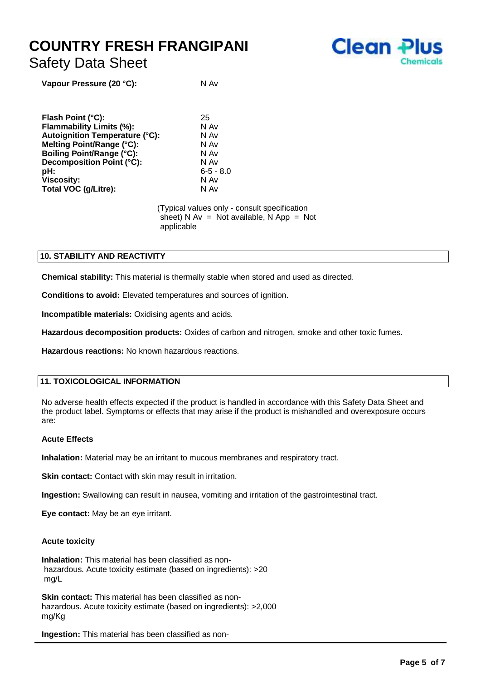

**Vapour Pressure (20 °C):** N Av

**Flash Point (°C):** 25 **Flammability Limits (%):** N Av **Autoignition Temperature (°C):** N Av **Melting Point/Range (°C):** N Av **Boiling Point/Range (°C):** N Av **Decomposition Point (°C): pH:** 6-5 - 8.0 **Viscosity:** N Av **Total VOC (g/Litre):** N Av

> (Typical values only - consult specification sheet) N  $Av = Not available$ , N  $App = Not$ applicable

#### **10. STABILITY AND REACTIVITY**

**Chemical stability:** This material is thermally stable when stored and used as directed.

**Conditions to avoid:** Elevated temperatures and sources of ignition.

**Incompatible materials:** Oxidising agents and acids.

**Hazardous decomposition products:** Oxides of carbon and nitrogen, smoke and other toxic fumes.

**Hazardous reactions:** No known hazardous reactions.

#### **11. TOXICOLOGICAL INFORMATION**

No adverse health effects expected if the product is handled in accordance with this Safety Data Sheet and the product label. Symptoms or effects that may arise if the product is mishandled and overexposure occurs are:

#### **Acute Effects**

**Inhalation:** Material may be an irritant to mucous membranes and respiratory tract.

**Skin contact:** Contact with skin may result in irritation.

**Ingestion:** Swallowing can result in nausea, vomiting and irritation of the gastrointestinal tract.

**Eye contact:** May be an eye irritant.

#### **Acute toxicity**

**Inhalation:** This material has been classified as nonhazardous. Acute toxicity estimate (based on ingredients): >20 mg/L

**Skin contact:** This material has been classified as nonhazardous. Acute toxicity estimate (based on ingredients): >2,000 mg/Kg

**Ingestion:** This material has been classified as non-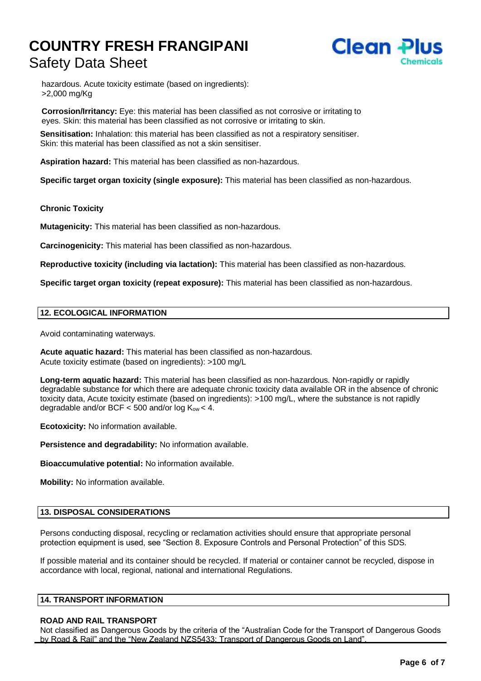

hazardous. Acute toxicity estimate (based on ingredients): >2,000 mg/Kg

**Corrosion/Irritancy:** Eye: this material has been classified as not corrosive or irritating to eyes. Skin: this material has been classified as not corrosive or irritating to skin.

**Sensitisation:** Inhalation: this material has been classified as not a respiratory sensitiser. Skin: this material has been classified as not a skin sensitiser.

**Aspiration hazard:** This material has been classified as non-hazardous.

**Specific target organ toxicity (single exposure):** This material has been classified as non-hazardous.

#### **Chronic Toxicity**

**Mutagenicity:** This material has been classified as non-hazardous.

**Carcinogenicity:** This material has been classified as non-hazardous.

**Reproductive toxicity (including via lactation):** This material has been classified as non-hazardous.

**Specific target organ toxicity (repeat exposure):** This material has been classified as non-hazardous.

#### **12. ECOLOGICAL INFORMATION**

Avoid contaminating waterways.

**Acute aquatic hazard:** This material has been classified as non-hazardous. Acute toxicity estimate (based on ingredients): >100 mg/L

**Long-term aquatic hazard:** This material has been classified as non-hazardous. Non-rapidly or rapidly degradable substance for which there are adequate chronic toxicity data available OR in the absence of chronic toxicity data, Acute toxicity estimate (based on ingredients): >100 mg/L, where the substance is not rapidly degradable and/or  $BCF < 500$  and/or  $log K<sub>ow</sub> < 4$ .

**Ecotoxicity:** No information available.

**Persistence and degradability:** No information available.

**Bioaccumulative potential:** No information available.

**Mobility:** No information available.

#### **13. DISPOSAL CONSIDERATIONS**

Persons conducting disposal, recycling or reclamation activities should ensure that appropriate personal protection equipment is used, see "Section 8. Exposure Controls and Personal Protection" of this SDS.

If possible material and its container should be recycled. If material or container cannot be recycled, dispose in accordance with local, regional, national and international Regulations.

#### **14. TRANSPORT INFORMATION**

#### **ROAD AND RAIL TRANSPORT**

Not classified as Dangerous Goods by the criteria of the "Australian Code for the Transport of Dangerous Goods by Road & Rail" and the "New Zealand NZS5433: Transport of Dangerous Goods on Land".